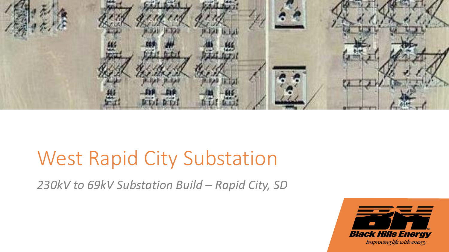

*230kV to 69kV Substation Build – Rapid City, SD*

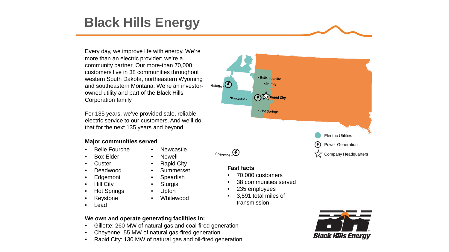### **Black Hills Energy**

Every day, we improve life with energy. We're more than an electric provider; we're a community partner. Our more-than 70,000 customers live in 38 communities throughout western South Dakota, northeastern Wyoming Gillette  $\Theta$ and southeastern Montana. We're an investorowned utility and part of the Black Hills Corporation family.

For 135 years, we've provided safe, reliable electric service to our customers. And we'll do that for the next 135 years and beyond.

#### **Major communities served**

- Belle Fourche
- Box Elder
- **Custer**
- Deadwood
- **Edgemont**
- Hill City
- Hot Springs
- **Keystone**
- Lead
- Newcastle
- Newell
- Rapid City
- **Summerset**
- **Spearfish**
- **Sturgis**
- Upton
- Whitewood

#### **Fast facts**

- 70,000 customers
- 38 communities served
- 235 employees
- 3,591 total miles of transmission

#### **We own and operate generating facilities in:**

- Gillette: 260 MW of natural gas and coal-fired generation
- Cheyenne: 55 MW of natural gas-fired generation
- Rapid City: 130 MW of natural gas and oil-fired generation



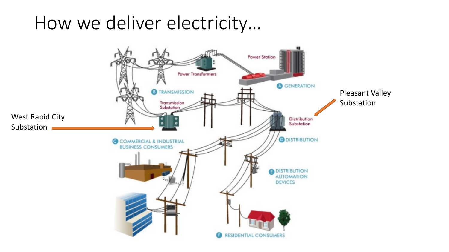### How we deliver electricity…

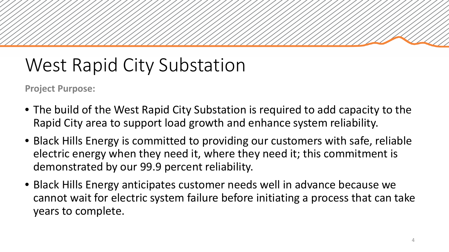**Project Purpose:** 

- The build of the West Rapid City Substation is required to add capacity to the Rapid City area to support load growth and enhance system reliability.
- Black Hills Energy is committed to providing our customers with safe, reliable electric energy when they need it, where they need it; this commitment is demonstrated by our 99.9 percent reliability.
- Black Hills Energy anticipates customer needs well in advance because we cannot wait for electric system failure before initiating a process that can take years to complete.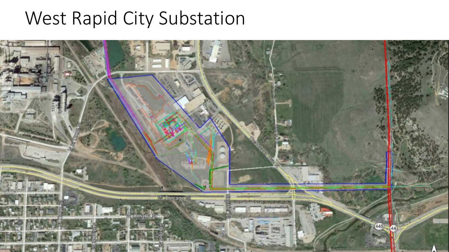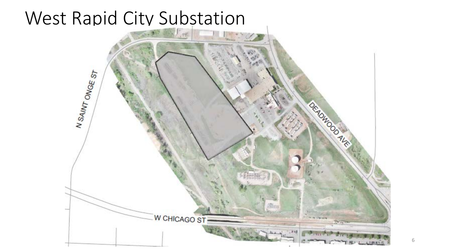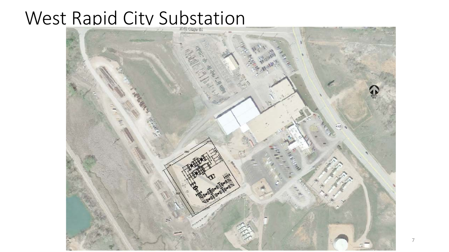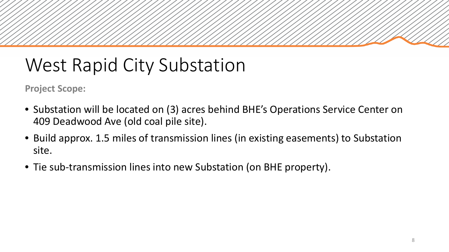**Project Scope:**

- Substation will be located on (3) acres behind BHE's Operations Service Center on 409 Deadwood Ave (old coal pile site).
- Build approx. 1.5 miles of transmission lines (in existing easements) to Substation site.
- Tie sub-transmission lines into new Substation (on BHE property).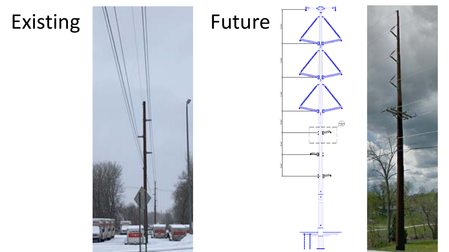

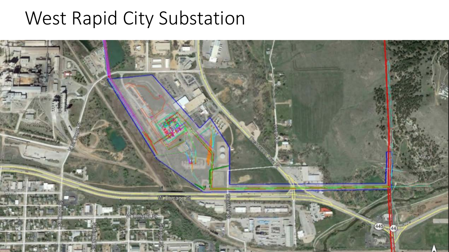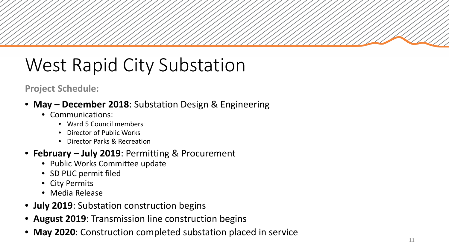### **Project Schedule:**

- **May – December 2018**: Substation Design & Engineering
	- Communications:
		- Ward 5 Council members
		- Director of Public Works
		- Director Parks & Recreation

### • **February – July 2019**: Permitting & Procurement

- Public Works Committee update
- SD PUC permit filed
- City Permits
- Media Release
- **July 2019**: Substation construction begins
- **August 2019**: Transmission line construction begins
- **May 2020**: Construction completed substation placed in service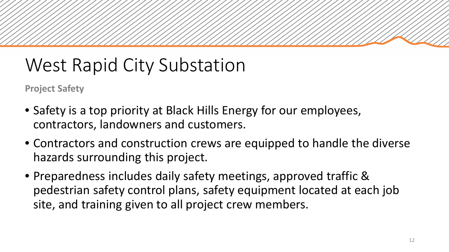**Project Safety**

- Safety is a top priority at Black Hills Energy for our employees, contractors, landowners and customers.
- Contractors and construction crews are equipped to handle the diverse hazards surrounding this project.
- Preparedness includes daily safety meetings, approved traffic & pedestrian safety control plans, safety equipment located at each job site, and training given to all project crew members.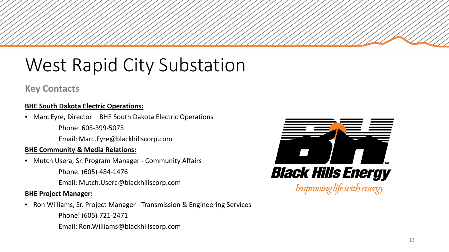### **Key Contacts**

#### **BHE South Dakota Electric Operations:**

- Marc Eyre, Director BHE South Dakota Electric Operations
	- Phone: 605-399-5075
	- Email: Marc.Eyre@blackhillscorp.com

#### **BHE Community & Media Relations:**

- Mutch Usera, Sr. Program Manager Community Affairs
	- Phone: (605) 484-1476
	- Email: Mutch.Usera@blackhillscorp.com

#### **BHE Project Manager:**

• Ron Williams, Sr. Project Manager - Transmission & Engineering Services

Phone: (605) 721-2471

Email: Ron.Williams@blackhillscorp.com